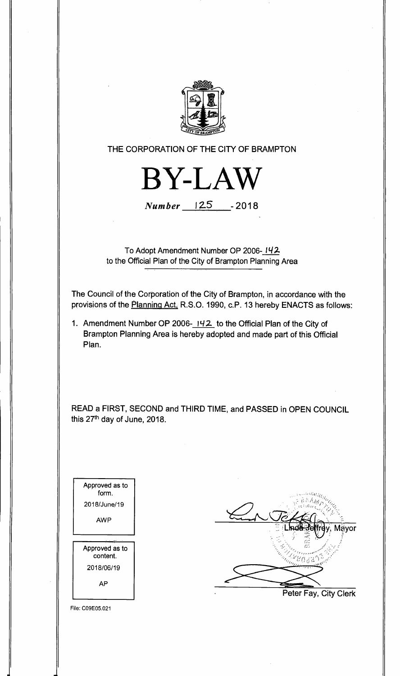

**THE CORPORATION OF THE CITY OF BRAMPTON** 



**Number 12.5 -2018** 

**To Adopt Amendment Number OP 2006- 142 to the Official Plan of the City of Brampton Planning Area** 

**The Council of the Corporation of the City of Brampton, in accordance with the provisions of the Planning Act, R.S.O. 1990, c.P. 13 hereby ENACTS as follows:** 

**1. Amendment Number OP 2006- 142 to the Official Plan of the City of Brampton Planning Area is hereby adopted and made part of this Official Plan.** 

**READ a FIRST, SECOND and THIRD TIME, and PASSED in OPEN COUNCIL this 27th day of June, 2018.** 

| Approved as to<br>form.    |
|----------------------------|
| 2018/June/19               |
| AWP                        |
|                            |
|                            |
| Approved as to<br>content. |
| 2018/06/19                 |



File: C09E05.021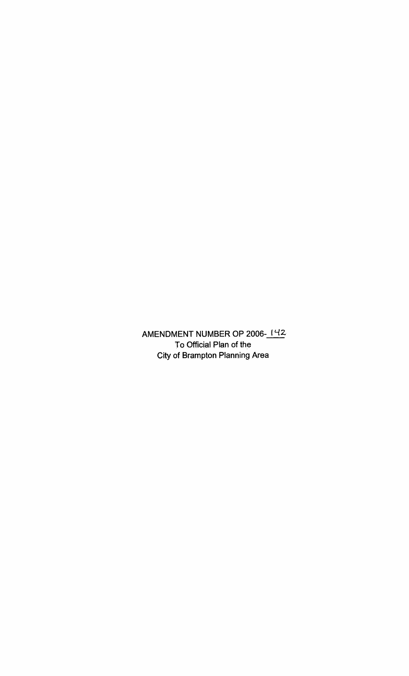AMENDMENT NUMBER OP 2006-142 **To Official Plan of the City of Brampton Planning Area**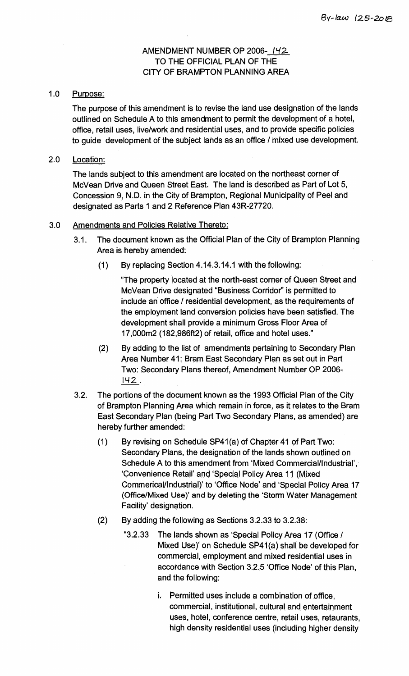## **AMENDMENT NUMBER OP 2006- 142 TO THE OFFICIAL PLAN OF THE CITY OF BRAMPTON PLANNING AREA**

## **1.0 Purpose:**

**The purpose of this amendment is to revise the land use designation of the lands outlined on Schedule A to this amendment to permit the development of a hotel, office, retail uses, live/work and residential uses, and to provide specific policies to guide development of the subject lands as an office / mixed use development.** 

## **2.0 Location:**

**The lands subject to this amendment are located on the' northeast corner of McVean Drive and Queen Street East. The land is described as Part of Lot 5, Concession 9, N.D. in the City of Brampton, Regional Municipality of Peel and designated as Parts 1 and 2 Reference Plan 43R-27720.** 

## **3.0 Amendments and Policies Relative Thereto:**

- **3.1. The document known as the Official Plan of the City of Brampton Planning Area is hereby amended:** 
	- **(1) By replacing Section 4.14.3.14.1 with the following:**

**"The property located at the north-east corner of Queen Street and McVean Drive designated "Business Corridor" is permitted to include an office / residential development, as the requirements of the employment land conversion policies have been satisfied. The development shall provide a minimum Gross Floor Area of 17,000m2 (182,986ft2) of retail, office and hotel uses."** 

- **(2) By adding to the list of amendments pertaining to Secondary Plan Area Number 41: Bram East Secondary Plan as set out in Part Two: Secondary Plans thereof, Amendment Number OP 2006- N2 .**
- **3.2. The portions of the document known as the 1993 Official Plan of the City of Brampton Planning Area which remain in force, as it relates to the Bram East Secondary Plan (being Part Two Secondary Plans, as amended) are hereby further amended:** 
	- **(1) By revising on Schedule SP41(a) of Chapter 41 of Part Two: Secondary Plans, the designation of the lands shown outlined on Schedule A to this amendment from 'Mixed Commercial/Industrial', 'Convenience Retail' and 'Special Policy Area 11 (Mixed Commerical/Industrial)' to 'Office Node' and 'Special Policy Area 17 (Office/Mixed Use)' and by deleting the 'Storm Water Management Facility' designation.**
	- **(2) By adding the following as Sections 3.2.33 to 3.2.38:** 
		- **"3.2.33 The lands shown as 'Special Policy Area 17 (Office / Mixed Use)' on Schedule SP41(a) shall be developed for commercial, employment and mixed residential uses in accordance with Section 3.2.5 'Office Node' of this Plan, and the following:** 
			- **i. Permitted uses include a combination of office, commercial, institutional, cultural and entertainment uses, hotel, conference centre, retail uses, retaurants, high density residential uses (including higher density**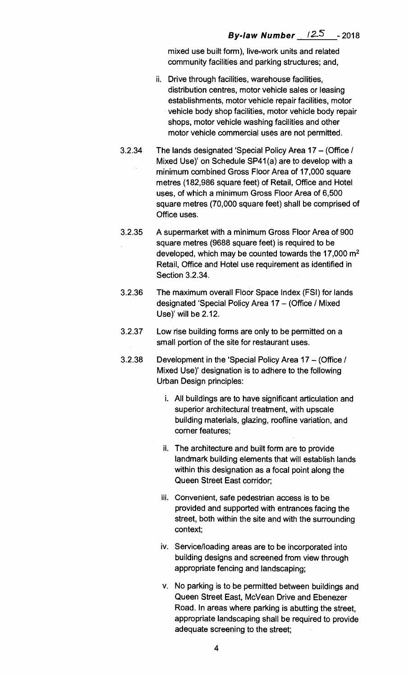**mixed use built form), live-work units and related community facilities and parking structures; and,** 

- **ii. Drive through facilities, warehouse facilities, distribution centres, motor vehicle sales or leasing establishments, motor vehicle repair facilities, motor vehicle body shop facilities, motor vehicle body repair shops, motor vehicle washing facilities and other motor vehicle commercial uses are not permitted.**
- **3.2.34 The lands designated 'Special Policy Area 17 (Office / Mixed Use)' on Schedule SP41(a) are to develop with a minimum combined Gross Floor Area of 17,000 square metres (182,986 square feet) of Retail, Office and Hotel uses, of which a minimum Gross Floor Area of 6,500 square metres (70,000 square feet) shall be comprised of Office uses.**
- **3.2.35 A supermarket with a minimum Gross Floor Area of 900 square metres (9688 square feet) is required to be developed, which may be counted towards the 17,000 m2 Retail, Office and Hotel use requirement as identified in Section 3.2.34.**
- **3.2.36 The maximum overall Floor Space Index (FSI) for lands designated 'Special Policy Area 17 — (Office / Mixed Use)' will be 2.12.**
- **3.2.37 Low rise building forms are only to be permitted on a small portion of the site for restaurant uses.**
- **3.2.38 Development in the 'Special Policy Area 17 (Office / Mixed Use)' designation is to adhere to the following Urban Design principles:** 
	- **i. All buildings are to have significant articulation and superior architectural treatment, with upscale building materials, glazing, roofline variation, and corner features;**
	- **ii. The architecture and built form are to provide landmark building elements that will establish lands within this designation as a focal point along the Queen Street East corridor;**
	- **iii. Convenient, safe pedestrian access is to be provided and supported with entrances facing the street, both within the site and with the surrounding context;**
	- **iv. Service/loading areas are to be incorporated into building designs and screened from view through appropriate fencing and landscaping;**
	- **v. No parking is to be permitted between buildings and Queen Street East, McVean Drive and Ebenezer Road. In areas where parking is abutting the street, appropriate landscaping shall be required to provide adequate screening to the street;**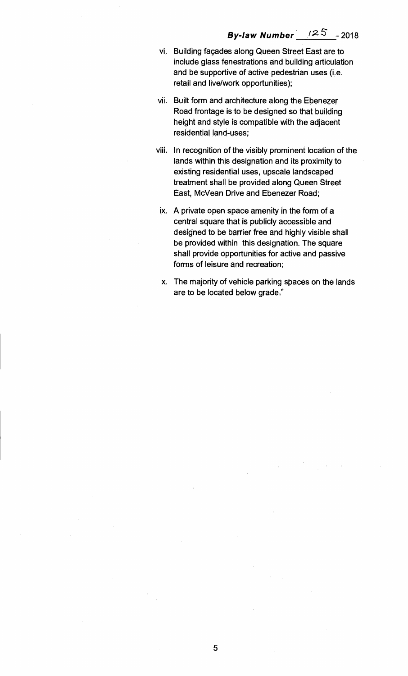- **vi. Building façades along Queen Street East are to include glass fenestrations and building articulation and be supportive of active pedestrian uses (i.e. retail and live/work opportunities);**
- **vii. Built form and architecture along the Ebenezer Road frontage is to be designed so that building height and style is compatible with the adjacent residential land-uses;**
- **viii. In recognition of the visibly prominent location of the lands within this designation and its proximity to existing residential uses, upscale landscaped treatment shall**, **be provided along Queen Street East, McVean Drive and Ebenezer Road;**
- **ix. A private open space amenity in the form of a central square that is publicly accessible and designed to be barrier free and highly visible shall be provided within this designation. The square shall provide opportunities for active and passive forms of leisure and recreation;**
- **x. The majority of vehicle parking spaces on the lands are to be located below grade."**